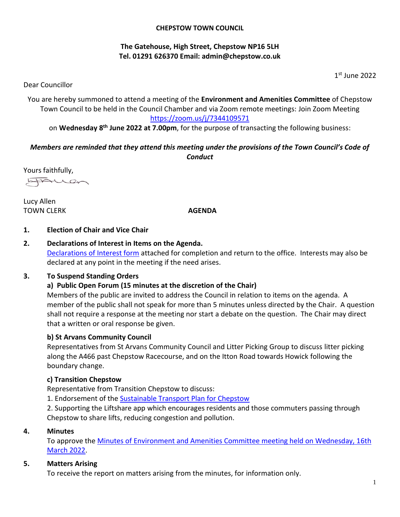#### **CHEPSTOW TOWN COUNCIL**

# **The Gatehouse, High Street, Chepstow NP16 5LH Tel. 01291 626370 Email: [admin@chepstow.co.uk](mailto:admin@chepstow.co.uk)**

1 st June 2022

Dear Councillor

You are hereby summoned to attend a meeting of the **Environment and Amenities Committee** of Chepstow Town Council to be held in the Council Chamber and via Zoom remote meetings: Join Zoom Meeting <https://zoom.us/j/7344109571>

on **Wednesday 8 th June 2022 at 7.00pm**, for the purpose of transacting the following business:

# *Members are reminded that they attend this meeting under the provisions of the Town Council's Code of Conduct*

Yours faithfully,

LAUCh

Lucy Allen **TOWN CLERK AGENDA** 

# **1. Election of Chair and Vice Chair**

**2. Declarations of Interest in Items on the Agenda.** [Declarations of Interest form](https://docs.google.com/document/d/1iUxiz9mDsJ7D2ThsCFBGDbXuX6Ckifyb/edit?usp=sharing&ouid=105404938322282414139&rtpof=true&sd=true) attached for completion and return to the office. Interests may also be declared at any point in the meeting if the need arises.

# **3. To Suspend Standing Orders**

# **a) Public Open Forum (15 minutes at the discretion of the Chair)**

Members of the public are invited to address the Council in relation to items on the agenda. A member of the public shall not speak for more than 5 minutes unless directed by the Chair. A question shall not require a response at the meeting nor start a debate on the question. The Chair may direct that a written or oral response be given.

# **b) St Arvans Community Council**

Representatives from St Arvans Community Council and Litter Picking Group to discuss litter picking along the A466 past Chepstow Racecourse, and on the Itton Road towards Howick following the boundary change.

#### **c) Transition Chepstow**

Representative from Transition Chepstow to discuss:

1. Endorsement of the [Sustainable Transport Plan for Chepstow](https://url6b.mailanyone.net/v1/?m=1nvm0R-0002Yv-3V&i=57e1b682&c=kvkJjOQEFyBEC4L9FbZZBFVA8jj3cg3xo5gA6luW_jlRFfEr97IPBnZnHbyRmGfAQkS9KvKEOUDlvztF56JTzCzv3t3vXDKxGH4Fp29B-n6rJDkAg6bICMIkrKwjpJuAZ1C94MxJNce79TaxpGritvTwgeUp4ZGKnohRv5qADFBUF0LrMRdmEYjapef2PCP_qJbXDL4TwvTOYeOcJxHfe4l5djz0VOyRGBaxNVa3uDxhfNks-ikpsPp5rTIi3OLJ8cbEHs0nxfuEyGrP_HoIynZv8ZbAmRYUGk71EELDCTcKSexvmFuvLMnCGBNwY-jV)

2. Supporting the Liftshare app which encourages residents and those commuters passing through Chepstow to share lifts, reducing congestion and pollution.

#### **4. Minutes**

To approve the [Minutes of Environment and Amenities Committee meeting held on Wednesday, 16th](http://www.chepstow.co.uk/_UserFiles/Files/_Minutes/127152-Minutes_OM_16th_March_2022.pdf)  [March](http://www.chepstow.co.uk/_UserFiles/Files/_Minutes/127152-Minutes_OM_16th_March_2022.pdf) 2022.

# **5. Matters Arising**

To receive the report on matters arising from the minutes, for information only.